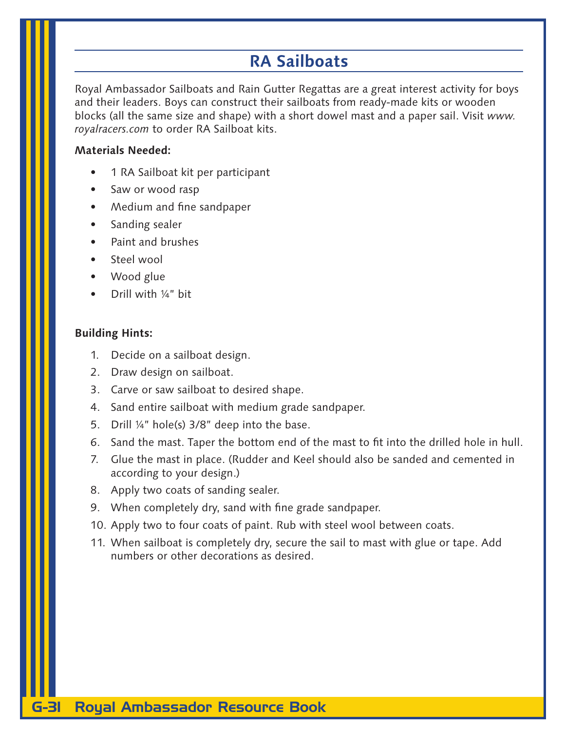# **RA Sailboats**

Royal Ambassador Sailboats and Rain Gutter Regattas are a great interest activity for boys and their leaders. Boys can construct their sailboats from ready-made kits or wooden blocks (all the same size and shape) with a short dowel mast and a paper sail. Visit *www. royalracers.com* to order RA Sailboat kits.

### **Materials Needed:**

- 1 RA Sailboat kit per participant
- Saw or wood rasp
- Medium and fine sandpaper
- Sanding sealer
- Paint and brushes
- Steel wool
- Wood glue
- Drill with ¼" bit

#### **Building Hints:**

- 1. Decide on a sailboat design.
- 2. Draw design on sailboat.
- 3. Carve or saw sailboat to desired shape.
- 4. Sand entire sailboat with medium grade sandpaper.
- 5. Drill ¼" hole(s) 3/8" deep into the base.
- 6. Sand the mast. Taper the bottom end of the mast to fit into the drilled hole in hull.
- 7. Glue the mast in place. (Rudder and Keel should also be sanded and cemented in according to your design.)
- 8. Apply two coats of sanding sealer.
- 9. When completely dry, sand with fine grade sandpaper.
- 10. Apply two to four coats of paint. Rub with steel wool between coats.
- 11. When sailboat is completely dry, secure the sail to mast with glue or tape. Add numbers or other decorations as desired.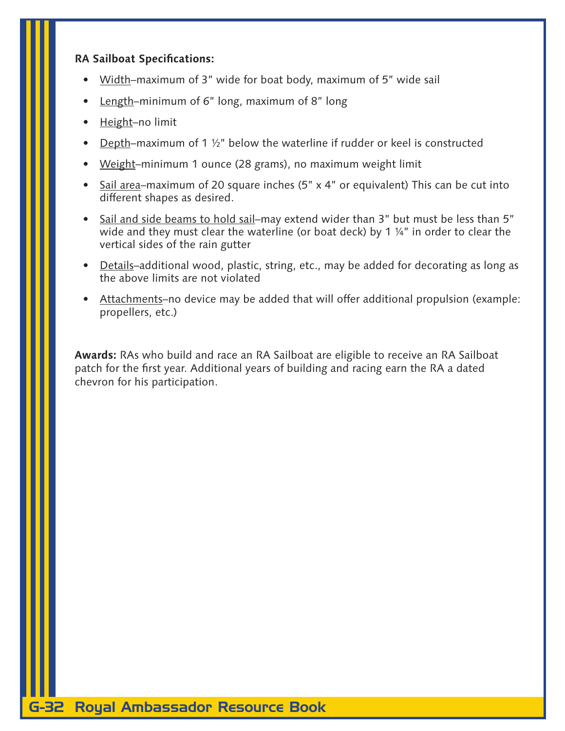### **RA Sailboat Specifications:**

- Width-maximum of 3" wide for boat body, maximum of 5" wide sail
- Length-minimum of 6" long, maximum of 8" long
- Height-no limit
- Depth–maximum of 1  $\frac{1}{2}$ " below the waterline if rudder or keel is constructed
- Weight–minimum 1 ounce (28 grams), no maximum weight limit
- Sail area–maximum of 20 square inches (5" x 4" or equivalent) This can be cut into different shapes as desired.
- Sail and side beams to hold sail-may extend wider than 3" but must be less than 5" wide and they must clear the waterline (or boat deck) by 1 ¼" in order to clear the vertical sides of the rain gutter
- Details–additional wood, plastic, string, etc., may be added for decorating as long as the above limits are not violated
- Attachments-no device may be added that will offer additional propulsion (example: propellers, etc.)

**Awards:** RAs who build and race an RA Sailboat are eligible to receive an RA Sailboat patch for the first year. Additional years of building and racing earn the RA a dated chevron for his participation.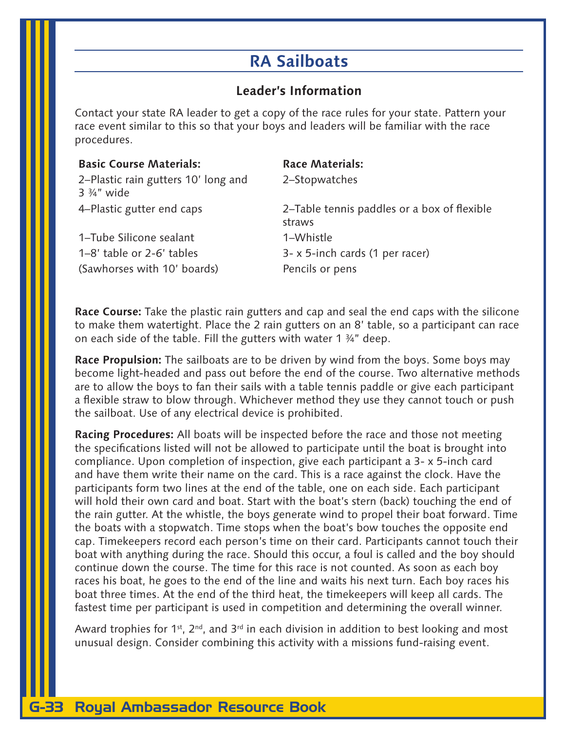# **RA Sailboats**

## **Leader's Information**

Contact your state RA leader to get a copy of the race rules for your state. Pattern your race event similar to this so that your boys and leaders will be familiar with the race procedures.

| <b>Basic Course Materials:</b>                               | <b>Race Materials:</b>                                |
|--------------------------------------------------------------|-------------------------------------------------------|
| 2–Plastic rain gutters 10' long and<br>$3\frac{3}{4}$ " wide | 2-Stopwatches                                         |
| 4–Plastic gutter end caps                                    | 2–Table tennis paddles or a box of flexible<br>straws |
| 1-Tube Silicone sealant                                      | 1-Whistle                                             |
| 1–8' table or 2-6' tables                                    | 3- x 5-inch cards (1 per racer)                       |
| (Sawhorses with 10' boards)                                  | Pencils or pens                                       |

**Race Course:** Take the plastic rain gutters and cap and seal the end caps with the silicone to make them watertight. Place the 2 rain gutters on an 8' table, so a participant can race on each side of the table. Fill the gutters with water 1 ¾" deep.

**Race Propulsion:** The sailboats are to be driven by wind from the boys. Some boys may become light-headed and pass out before the end of the course. Two alternative methods are to allow the boys to fan their sails with a table tennis paddle or give each participant a flexible straw to blow through. Whichever method they use they cannot touch or push the sailboat. Use of any electrical device is prohibited.

**Racing Procedures:** All boats will be inspected before the race and those not meeting the specifications listed will not be allowed to participate until the boat is brought into compliance. Upon completion of inspection, give each participant a 3- x 5-inch card and have them write their name on the card. This is a race against the clock. Have the participants form two lines at the end of the table, one on each side. Each participant will hold their own card and boat. Start with the boat's stern (back) touching the end of the rain gutter. At the whistle, the boys generate wind to propel their boat forward. Time the boats with a stopwatch. Time stops when the boat's bow touches the opposite end cap. Timekeepers record each person's time on their card. Participants cannot touch their boat with anything during the race. Should this occur, a foul is called and the boy should continue down the course. The time for this race is not counted. As soon as each boy races his boat, he goes to the end of the line and waits his next turn. Each boy races his boat three times. At the end of the third heat, the timekeepers will keep all cards. The fastest time per participant is used in competition and determining the overall winner.

Award trophies for 1<sup>st</sup>, 2<sup>nd</sup>, and 3<sup>rd</sup> in each division in addition to best looking and most unusual design. Consider combining this activity with a missions fund-raising event.